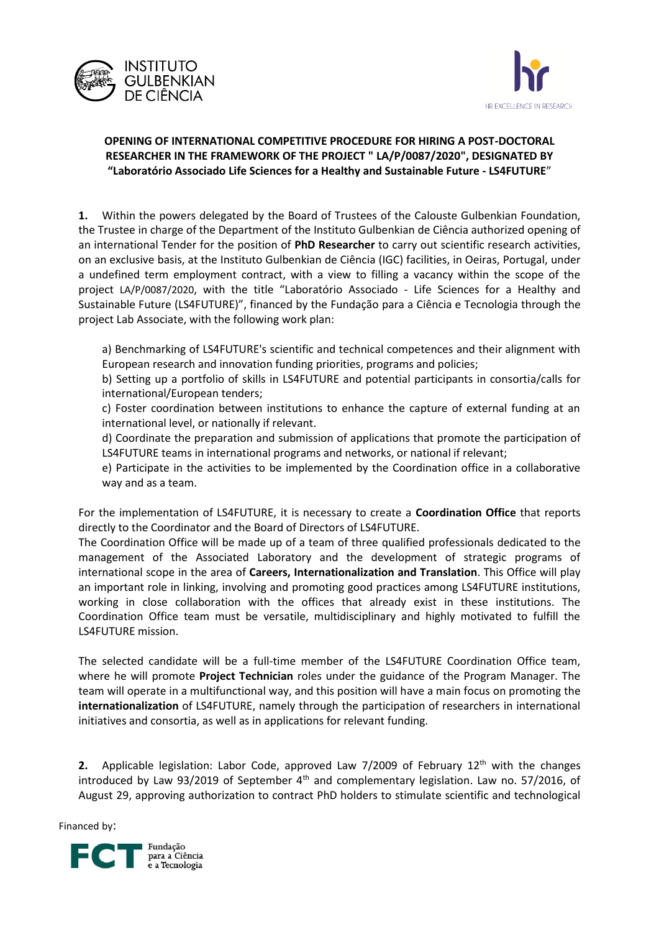



## **OPENING OF INTERNATIONAL COMPETITIVE PROCEDURE FOR HIRING A POST-DOCTORAL RESEARCHER IN THE FRAMEWORK OF THE PROJECT " LA/P/0087/2020", DESIGNATED BY "Laboratório Associado Life Sciences for a Healthy and Sustainable Future - LS4FUTURE**"

**1.** Within the powers delegated by the Board of Trustees of the Calouste Gulbenkian Foundation, the Trustee in charge of the Department of the Instituto Gulbenkian de Ciência authorized opening of an international Tender for the position of **PhD Researcher** to carry out scientific research activities, on an exclusive basis, at the Instituto Gulbenkian de Ciência (IGC) facilities, in Oeiras, Portugal, under a undefined term employment contract, with a view to filling a vacancy within the scope of the project LA/P/0087/2020, with the title "Laboratório Associado - Life Sciences for a Healthy and Sustainable Future (LS4FUTURE)", financed by the Fundação para a Ciência e Tecnologia through the project Lab Associate, with the following work plan:

a) Benchmarking of LS4FUTURE's scientific and technical competences and their alignment with European research and innovation funding priorities, programs and policies;

b) Setting up a portfolio of skills in LS4FUTURE and potential participants in consortia/calls for international/European tenders;

c) Foster coordination between institutions to enhance the capture of external funding at an international level, or nationally if relevant.

d) Coordinate the preparation and submission of applications that promote the participation of LS4FUTURE teams in international programs and networks, or national if relevant;

e) Participate in the activities to be implemented by the Coordination office in a collaborative way and as a team.

For the implementation of LS4FUTURE, it is necessary to create a **Coordination Office** that reports directly to the Coordinator and the Board of Directors of LS4FUTURE.

The Coordination Office will be made up of a team of three qualified professionals dedicated to the management of the Associated Laboratory and the development of strategic programs of international scope in the area of **Careers, Internationalization and Translation**. This Office will play an important role in linking, involving and promoting good practices among LS4FUTURE institutions, working in close collaboration with the offices that already exist in these institutions. The Coordination Office team must be versatile, multidisciplinary and highly motivated to fulfill the LS4FUTURE mission.

The selected candidate will be a full-time member of the LS4FUTURE Coordination Office team, where he will promote **Project Technician** roles under the guidance of the Program Manager. The team will operate in a multifunctional way, and this position will have a main focus on promoting the **internationalization** of LS4FUTURE, namely through the participation of researchers in international initiatives and consortia, as well as in applications for relevant funding.

**2.** Applicable legislation: Labor Code, approved Law 7/2009 of February 12<sup>th</sup> with the changes introduced by Law 93/2019 of September  $4<sup>th</sup>$  and complementary legislation. Law no. 57/2016, of August 29, approving authorization to contract PhD holders to stimulate scientific and technological

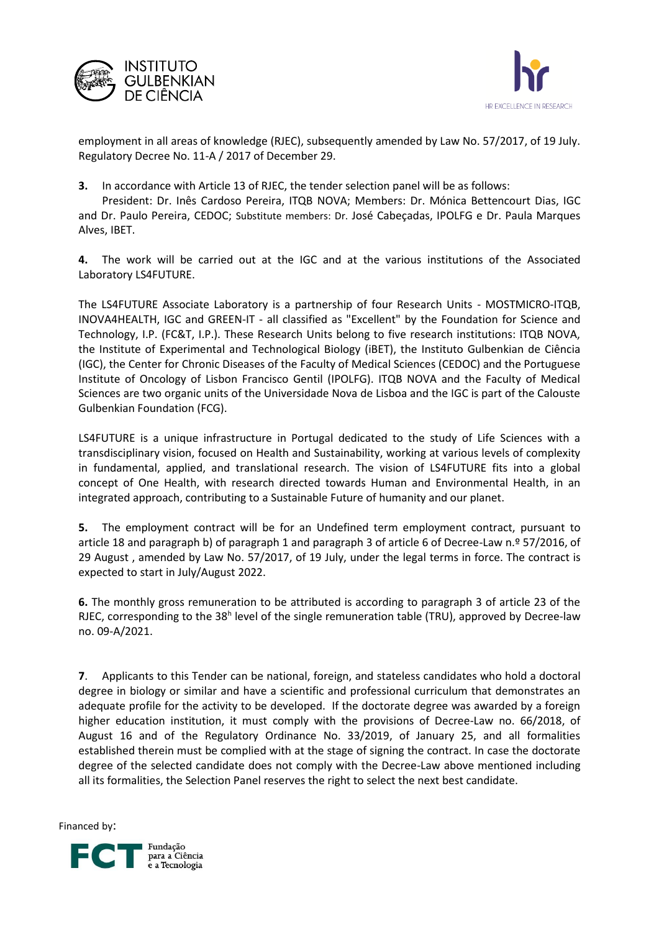



employment in all areas of knowledge (RJEC), subsequently amended by Law No. 57/2017, of 19 July. Regulatory Decree No. 11-A / 2017 of December 29.

**3.** In accordance with Article 13 of RJEC, the tender selection panel will be as follows:

President: Dr. Inês Cardoso Pereira, ITQB NOVA; Members: Dr. Mónica Bettencourt Dias, IGC and Dr. Paulo Pereira, CEDOC; Substitute members: Dr. José Cabeçadas, IPOLFG e Dr. Paula Marques Alves, IBET.

**4.** The work will be carried out at the IGC and at the various institutions of the Associated Laboratory LS4FUTURE.

The LS4FUTURE Associate Laboratory is a partnership of four Research Units - MOSTMICRO-ITQB, INOVA4HEALTH, IGC and GREEN-IT - all classified as "Excellent" by the Foundation for Science and Technology, I.P. (FC&T, I.P.). These Research Units belong to five research institutions: ITQB NOVA, the Institute of Experimental and Technological Biology (iBET), the Instituto Gulbenkian de Ciência (IGC), the Center for Chronic Diseases of the Faculty of Medical Sciences (CEDOC) and the Portuguese Institute of Oncology of Lisbon Francisco Gentil (IPOLFG). ITQB NOVA and the Faculty of Medical Sciences are two organic units of the Universidade Nova de Lisboa and the IGC is part of the Calouste Gulbenkian Foundation (FCG).

LS4FUTURE is a unique infrastructure in Portugal dedicated to the study of Life Sciences with a transdisciplinary vision, focused on Health and Sustainability, working at various levels of complexity in fundamental, applied, and translational research. The vision of LS4FUTURE fits into a global concept of One Health, with research directed towards Human and Environmental Health, in an integrated approach, contributing to a Sustainable Future of humanity and our planet.

**5.** The employment contract will be for an Undefined term employment contract, pursuant to article 18 and paragraph b) of paragraph 1 and paragraph 3 of article 6 of Decree-Law n.º 57/2016, of 29 August , amended by Law No. 57/2017, of 19 July, under the legal terms in force. The contract is expected to start in July/August 2022.

**6.** The monthly gross remuneration to be attributed is according to paragraph 3 of article 23 of the RJEC, corresponding to the 38<sup>h</sup> level of the single remuneration table (TRU), approved by Decree-law no. 09-A/2021.

**7**. Applicants to this Tender can be national, foreign, and stateless candidates who hold a doctoral degree in biology or similar and have a scientific and professional curriculum that demonstrates an adequate profile for the activity to be developed. If the doctorate degree was awarded by a foreign higher education institution, it must comply with the provisions of Decree-Law no. 66/2018, of August 16 and of the Regulatory Ordinance No. 33/2019, of January 25, and all formalities established therein must be complied with at the stage of signing the contract. In case the doctorate degree of the selected candidate does not comply with the Decree-Law above mentioned including all its formalities, the Selection Panel reserves the right to select the next best candidate.

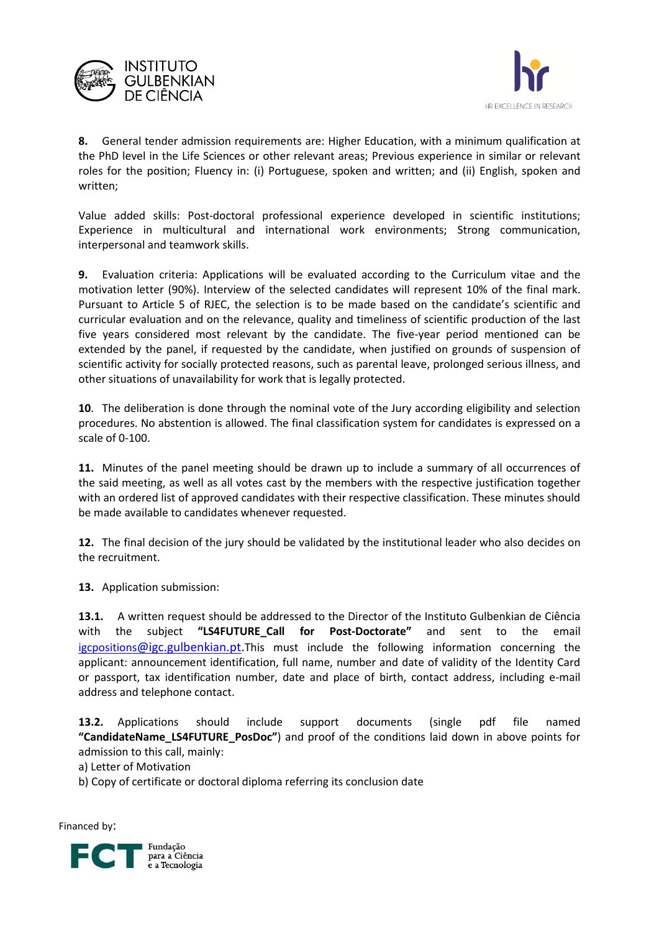



**8.** General tender admission requirements are: Higher Education, with a minimum qualification at the PhD level in the Life Sciences or other relevant areas; Previous experience in similar or relevant roles for the position; Fluency in: (i) Portuguese, spoken and written; and (ii) English, spoken and written;

Value added skills: Post-doctoral professional experience developed in scientific institutions; Experience in multicultural and international work environments; Strong communication, interpersonal and teamwork skills.

**9.** Evaluation criteria: Applications will be evaluated according to the Curriculum vitae and the motivation letter (90%). Interview of the selected candidates will represent 10% of the final mark. Pursuant to Article 5 of RJEC, the selection is to be made based on the candidate's scientific and curricular evaluation and on the relevance, quality and timeliness of scientific production of the last five years considered most relevant by the candidate. The five-year period mentioned can be extended by the panel, if requested by the candidate, when justified on grounds of suspension of scientific activity for socially protected reasons, such as parental leave, prolonged serious illness, and other situations of unavailability for work that is legally protected.

**10**. The deliberation is done through the nominal vote of the Jury according eligibility and selection procedures. No abstention is allowed. The final classification system for candidates is expressed on a scale of 0-100.

**11.** Minutes of the panel meeting should be drawn up to include a summary of all occurrences of the said meeting, as well as all votes cast by the members with the respective justification together with an ordered list of approved candidates with their respective classification. These minutes should be made available to candidates whenever requested.

**12.** The final decision of the jury should be validated by the institutional leader who also decides on the recruitment.

**13.** Application submission:

**13.1.** A written request should be addressed to the Director of the Instituto Gulbenkian de Ciência with the subject **"LS4FUTURE\_Call for Post-Doctorate"** and sent to the email [igcpositions](mailto:igcpositions@igc.gulbenkian.pt)[@igc.gulbenkian.pt.](mailto:igcpositions@igc.gulbenkian.pt)This must include the following information concerning the applicant: announcement identification, full name, number and date of validity of the Identity Card or passport, tax identification number, date and place of birth, contact address, including e-mail address and telephone contact.

**13.2.** Applications should include support documents (single pdf file named **"CandidateName\_LS4FUTURE\_PosDoc"**) and proof of the conditions laid down in above points for admission to this call, mainly:

a) Letter of Motivation

b) Copy of certificate or doctoral diploma referring its conclusion date

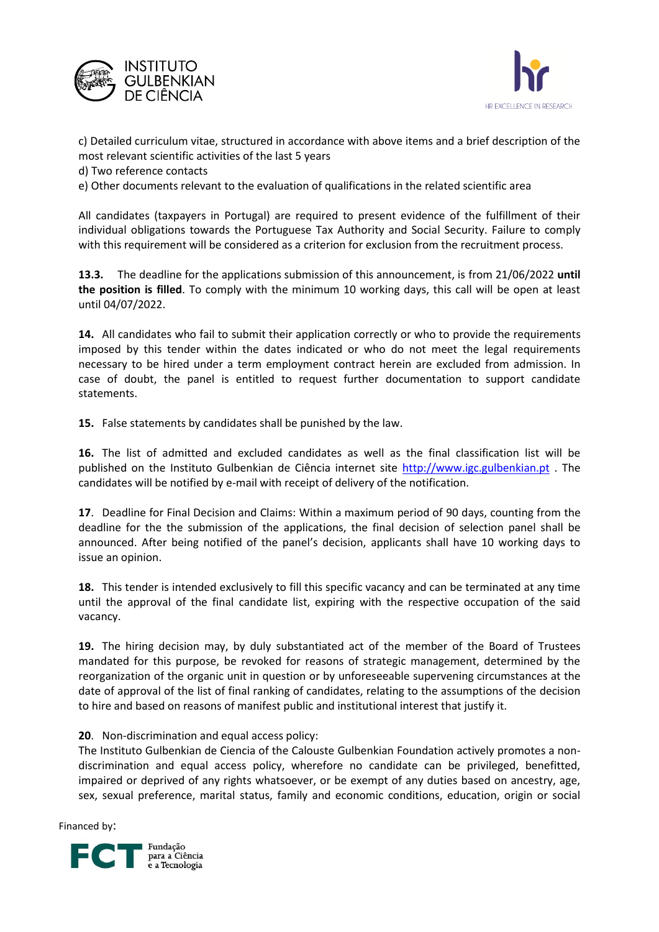



c) Detailed curriculum vitae, structured in accordance with above items and a brief description of the most relevant scientific activities of the last 5 years

d) Two reference contacts

e) Other documents relevant to the evaluation of qualifications in the related scientific area

All candidates (taxpayers in Portugal) are required to present evidence of the fulfillment of their individual obligations towards the Portuguese Tax Authority and Social Security. Failure to comply with this requirement will be considered as a criterion for exclusion from the recruitment process.

**13.3.** The deadline for the applications submission of this announcement, is from 21/06/2022 **until the position is filled**. To comply with the minimum 10 working days, this call will be open at least until 04/07/2022.

**14.** All candidates who fail to submit their application correctly or who to provide the requirements imposed by this tender within the dates indicated or who do not meet the legal requirements necessary to be hired under a term employment contract herein are excluded from admission. In case of doubt, the panel is entitled to request further documentation to support candidate statements.

**15.** False statements by candidates shall be punished by the law.

**16.** The list of admitted and excluded candidates as well as the final classification list will be published on the Instituto Gulbenkian de Ciência internet site [http://www.igc.gulbenkian.pt](http://www.igc.gulbenkian.pt/) . The candidates will be notified by e-mail with receipt of delivery of the notification.

**17**. Deadline for Final Decision and Claims: Within a maximum period of 90 days, counting from the deadline for the the submission of the applications, the final decision of selection panel shall be announced. After being notified of the panel's decision, applicants shall have 10 working days to issue an opinion.

**18.** This tender is intended exclusively to fill this specific vacancy and can be terminated at any time until the approval of the final candidate list, expiring with the respective occupation of the said vacancy.

**19.** The hiring decision may, by duly substantiated act of the member of the Board of Trustees mandated for this purpose, be revoked for reasons of strategic management, determined by the reorganization of the organic unit in question or by unforeseeable supervening circumstances at the date of approval of the list of final ranking of candidates, relating to the assumptions of the decision to hire and based on reasons of manifest public and institutional interest that justify it.

## **20**. Non-discrimination and equal access policy:

The Instituto Gulbenkian de Ciencia of the Calouste Gulbenkian Foundation actively promotes a nondiscrimination and equal access policy, wherefore no candidate can be privileged, benefitted, impaired or deprived of any rights whatsoever, or be exempt of any duties based on ancestry, age, sex, sexual preference, marital status, family and economic conditions, education, origin or social